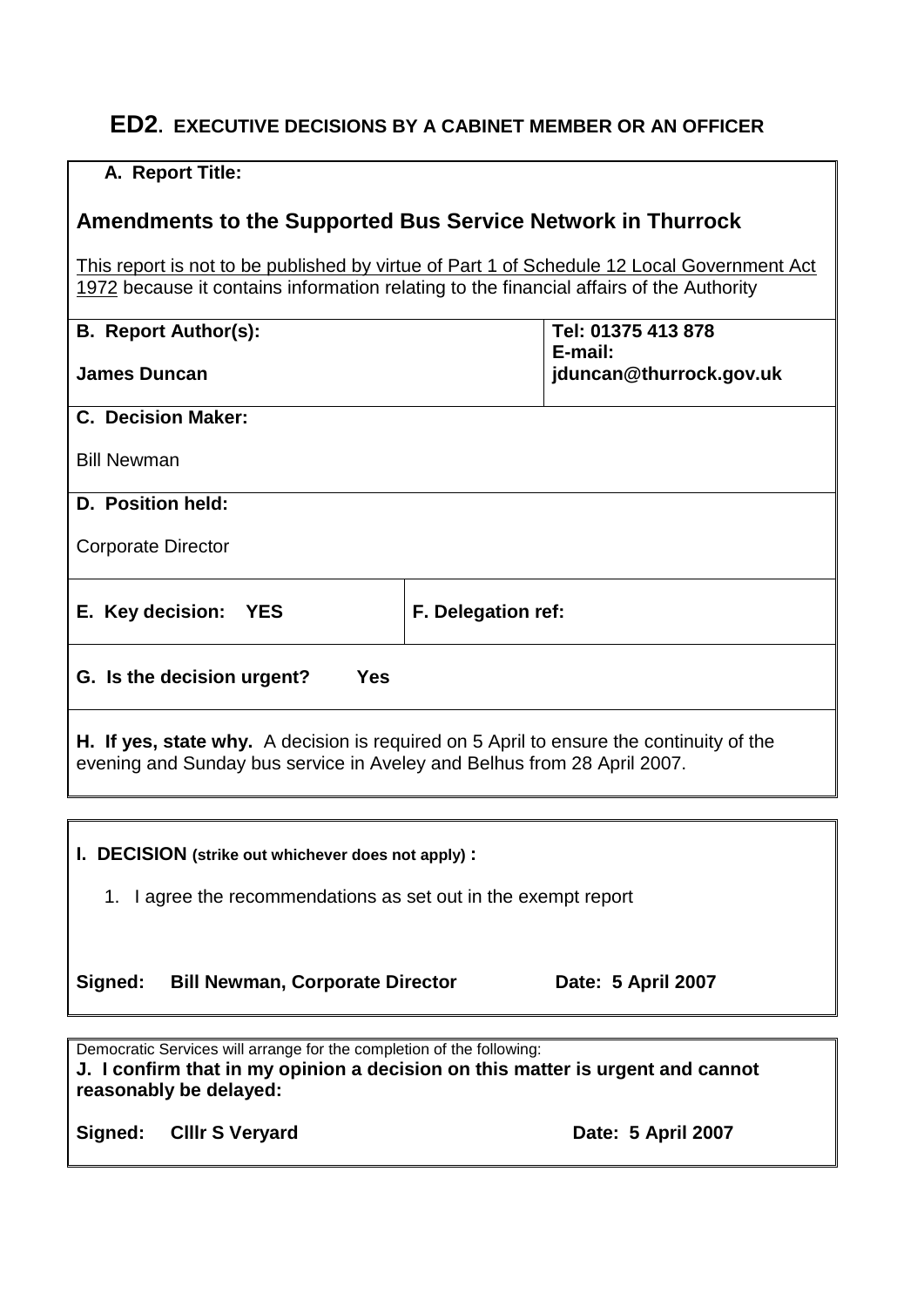## **ED2. EXECUTIVE DECISIONS BY A CABINET MEMBER OR AN OFFICER**

| A. Report Title:                                                                                                                                                                      |                                    |  |
|---------------------------------------------------------------------------------------------------------------------------------------------------------------------------------------|------------------------------------|--|
| <b>Amendments to the Supported Bus Service Network in Thurrock</b>                                                                                                                    |                                    |  |
| This report is not to be published by virtue of Part 1 of Schedule 12 Local Government Act<br>1972 because it contains information relating to the financial affairs of the Authority |                                    |  |
| <b>B. Report Author(s):</b>                                                                                                                                                           | Tel: 01375 413 878                 |  |
| <b>James Duncan</b>                                                                                                                                                                   | E-mail:<br>jduncan@thurrock.gov.uk |  |
| <b>C. Decision Maker:</b>                                                                                                                                                             |                                    |  |
| <b>Bill Newman</b>                                                                                                                                                                    |                                    |  |
| D. Position held:                                                                                                                                                                     |                                    |  |
| <b>Corporate Director</b>                                                                                                                                                             |                                    |  |
| E. Key decision:<br><b>YES</b>                                                                                                                                                        | F. Delegation ref:                 |  |
| G. Is the decision urgent?<br><b>Yes</b>                                                                                                                                              |                                    |  |
| H. If yes, state why. A decision is required on 5 April to ensure the continuity of the<br>evening and Sunday bus service in Aveley and Belhus from 28 April 2007.                    |                                    |  |

**I. DECISION (strike out whichever does not apply) :** 1. I agree the recommendations as set out in the exempt report Signed: Bill Newman, Corporate Director **Date: 5 April 2007** Democratic Services will arrange for the completion of the following:

**J. I confirm that in my opinion a decision on this matter is urgent and cannot reasonably be delayed:**

Signed: CIIIr S Veryard **Date: 5 April 2007**